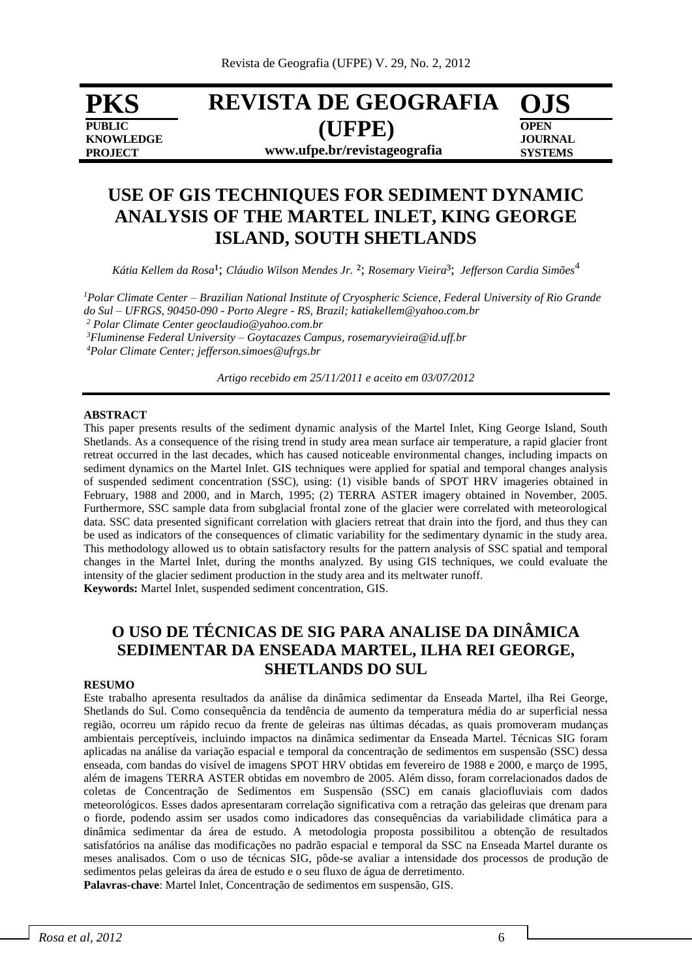**PKS PUBLIC KNOWLEDGE PROJECT**

# **REVISTA DE GEOGRAFIA (UFPE) www.ufpe.br/revistageografia**

**OJS OPEN JOURNAL SYSTEMS**

## **USE OF GIS TECHNIQUES FOR SEDIMENT DYNAMIC ANALYSIS OF THE MARTEL INLET, KING GEORGE ISLAND, SOUTH SHETLANDS**

Kátia Kellem da Rosa<sup>1</sup>; Cláudio Wilson Mendes Jr. <sup>2</sup>; Rosemary Vieira<sup>3</sup>; Jefferson Cardia Simões<sup>4</sup>

*<sup>1</sup>Polar Climate Center – Brazilian National Institute of Cryospheric Science, Federal University of Rio Grande do Sul – UFRGS, 90450-090 - Porto Alegre - RS, Brazil; katiakellem@yahoo.com.br <sup>2</sup> Polar Climate Center geoclaudio@yahoo.com.br*

*<sup>3</sup>Fluminense Federal University – Goytacazes Campus, rosemaryvieira@id.uff.br*

*<sup>4</sup>Polar Climate Center; jefferson.simoes@ufrgs.br*

*Artigo recebido em 25/11/2011 e aceito em 03/07/2012*

#### **ABSTRACT**

This paper presents results of the sediment dynamic analysis of the Martel Inlet, King George Island, South Shetlands. As a consequence of the rising trend in study area mean surface air temperature, a rapid glacier front retreat occurred in the last decades, which has caused noticeable environmental changes, including impacts on sediment dynamics on the Martel Inlet. GIS techniques were applied for spatial and temporal changes analysis of suspended sediment concentration (SSC), using: (1) visible bands of SPOT HRV imageries obtained in February, 1988 and 2000, and in March, 1995; (2) TERRA ASTER imagery obtained in November, 2005. Furthermore, SSC sample data from subglacial frontal zone of the glacier were correlated with meteorological data. SSC data presented significant correlation with glaciers retreat that drain into the fjord, and thus they can be used as indicators of the consequences of climatic variability for the sedimentary dynamic in the study area. This methodology allowed us to obtain satisfactory results for the pattern analysis of SSC spatial and temporal changes in the Martel Inlet, during the months analyzed. By using GIS techniques, we could evaluate the intensity of the glacier sediment production in the study area and its meltwater runoff. **Keywords:** Martel Inlet, suspended sediment concentration, GIS.

### **O USO DE TÉCNICAS DE SIG PARA ANALISE DA DINÂMICA SEDIMENTAR DA ENSEADA MARTEL, ILHA REI GEORGE, SHETLANDS DO SUL**

#### **RESUMO**

Este trabalho apresenta resultados da análise da dinâmica sedimentar da Enseada Martel, ilha Rei George, Shetlands do Sul. Como consequência da tendência de aumento da temperatura média do ar superficial nessa região, ocorreu um rápido recuo da frente de geleiras nas últimas décadas, as quais promoveram mudanças ambientais perceptíveis, incluindo impactos na dinâmica sedimentar da Enseada Martel. Técnicas SIG foram aplicadas na análise da variação espacial e temporal da concentração de sedimentos em suspensão (SSC) dessa enseada, com bandas do visível de imagens SPOT HRV obtidas em fevereiro de 1988 e 2000, e março de 1995, além de imagens TERRA ASTER obtidas em novembro de 2005. Além disso, foram correlacionados dados de coletas de Concentração de Sedimentos em Suspensão (SSC) em canais glaciofluviais com dados meteorológicos. Esses dados apresentaram correlação significativa com a retração das geleiras que drenam para o fiorde, podendo assim ser usados como indicadores das consequências da variabilidade climática para a dinâmica sedimentar da área de estudo. A metodologia proposta possibilitou a obtenção de resultados satisfatórios na análise das modificações no padrão espacial e temporal da SSC na Enseada Martel durante os meses analisados. Com o uso de técnicas SIG, pôde-se avaliar a intensidade dos processos de produção de sedimentos pelas geleiras da área de estudo e o seu fluxo de água de derretimento.

**Palavras-chave**: Martel Inlet, Concentração de sedimentos em suspensão, GIS.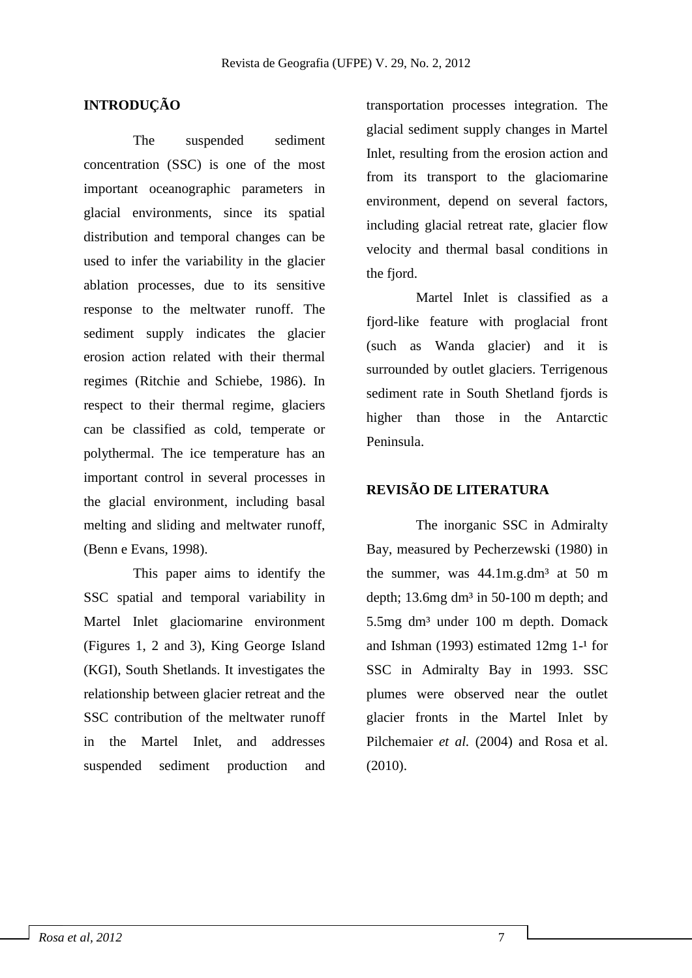### **INTRODUÇÃO**

The suspended sediment concentration (SSC) is one of the most important oceanographic parameters in glacial environments, since its spatial distribution and temporal changes can be used to infer the variability in the glacier ablation processes, due to its sensitive response to the meltwater runoff. The sediment supply indicates the glacier erosion action related with their thermal regimes (Ritchie and Schiebe, 1986). In respect to their thermal regime, glaciers can be classified as cold, temperate or polythermal. The ice temperature has an important control in several processes in the glacial environment, including basal melting and sliding and meltwater runoff, (Benn e Evans, 1998).

This paper aims to identify the SSC spatial and temporal variability in Martel Inlet glaciomarine environment (Figures 1, 2 and 3), King George Island (KGI), South Shetlands. It investigates the relationship between glacier retreat and the SSC contribution of the meltwater runoff in the Martel Inlet, and addresses suspended sediment production and

transportation processes integration. The glacial sediment supply changes in Martel Inlet, resulting from the erosion action and from its transport to the glaciomarine environment, depend on several factors, including glacial retreat rate, glacier flow velocity and thermal basal conditions in the fjord.

Martel Inlet is classified as a fjord-like feature with proglacial front (such as Wanda glacier) and it is surrounded by outlet glaciers. Terrigenous sediment rate in South Shetland fjords is higher than those in the Antarctic Peninsula.

#### **REVISÃO DE LITERATURA**

The inorganic SSC in Admiralty Bay, measured by Pecherzewski (1980) in the summer, was  $44.1 \text{m}$ .g.dm<sup>3</sup> at  $50 \text{m}$ depth; 13.6mg dm<sup>3</sup> in 50-100 m depth; and 5.5mg dm<sup>3</sup> under 100 m depth. Domack and Ishman (1993) estimated  $12mg$  1-<sup>1</sup> for SSC in Admiralty Bay in 1993. SSC plumes were observed near the outlet glacier fronts in the Martel Inlet by Pilchemaier *et al.* (2004) and Rosa et al. (2010).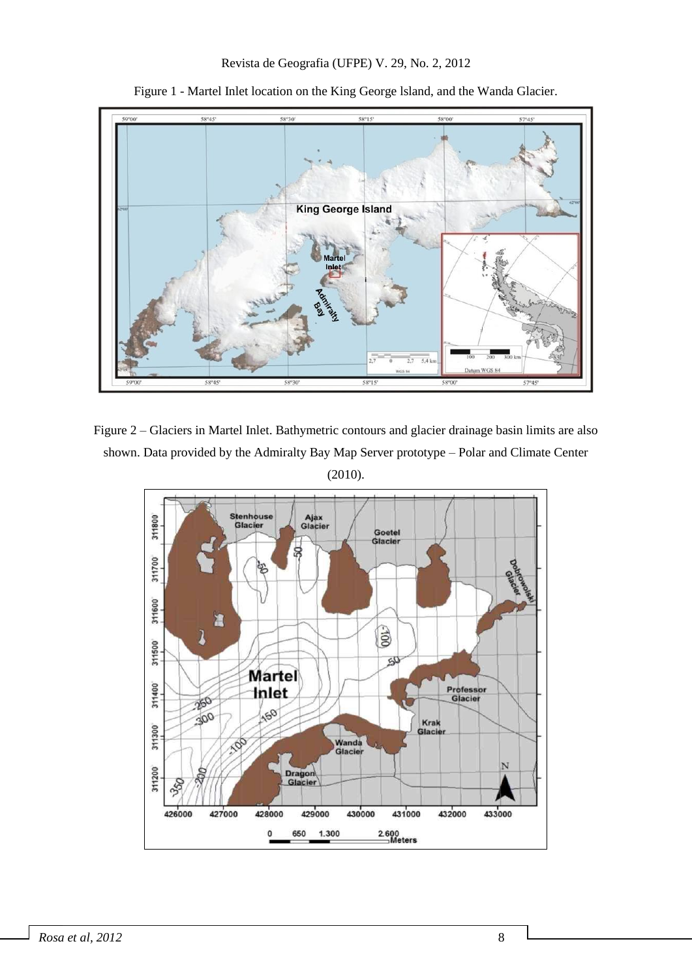

Figure 1 - Martel Inlet location on the King George lsland, and the Wanda Glacier.

Figure 2 – Glaciers in Martel Inlet. Bathymetric contours and glacier drainage basin limits are also shown. Data provided by the Admiralty Bay Map Server prototype – Polar and Climate Center (2010).

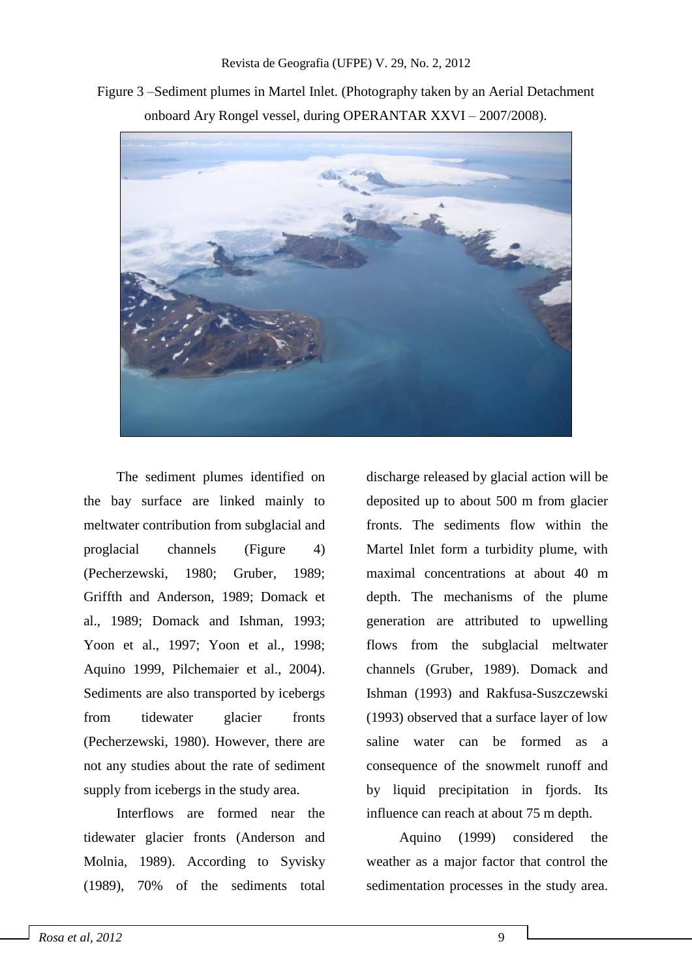Figure 3 –Sediment plumes in Martel Inlet. (Photography taken by an Aerial Detachment onboard Ary Rongel vessel, during OPERANTAR XXVI – 2007/2008).



The sediment plumes identified on the bay surface are linked mainly to meltwater contribution from subglacial and proglacial channels (Figure 4) (Pecherzewski, 1980; Gruber, 1989; Griffth and Anderson, 1989; Domack et al., 1989; Domack and Ishman, 1993; Yoon et al., 1997; Yoon et al., 1998; Aquino 1999, Pilchemaier et al., 2004). Sediments are also transported by icebergs from tidewater glacier fronts (Pecherzewski, 1980). However, there are not any studies about the rate of sediment supply from icebergs in the study area.

Interflows are formed near the tidewater glacier fronts (Anderson and Molnia, 1989). According to Syvisky (1989), 70% of the sediments total discharge released by glacial action will be deposited up to about 500 m from glacier fronts. The sediments flow within the Martel Inlet form a turbidity plume, with maximal concentrations at about 40 m depth. The mechanisms of the plume generation are attributed to upwelling flows from the subglacial meltwater channels (Gruber, 1989). Domack and Ishman (1993) and Rakfusa-Suszczewski (1993) observed that a surface layer of low saline water can be formed as a consequence of the snowmelt runoff and by liquid precipitation in fjords. Its influence can reach at about 75 m depth.

Aquino (1999) considered the weather as a major factor that control the sedimentation processes in the study area.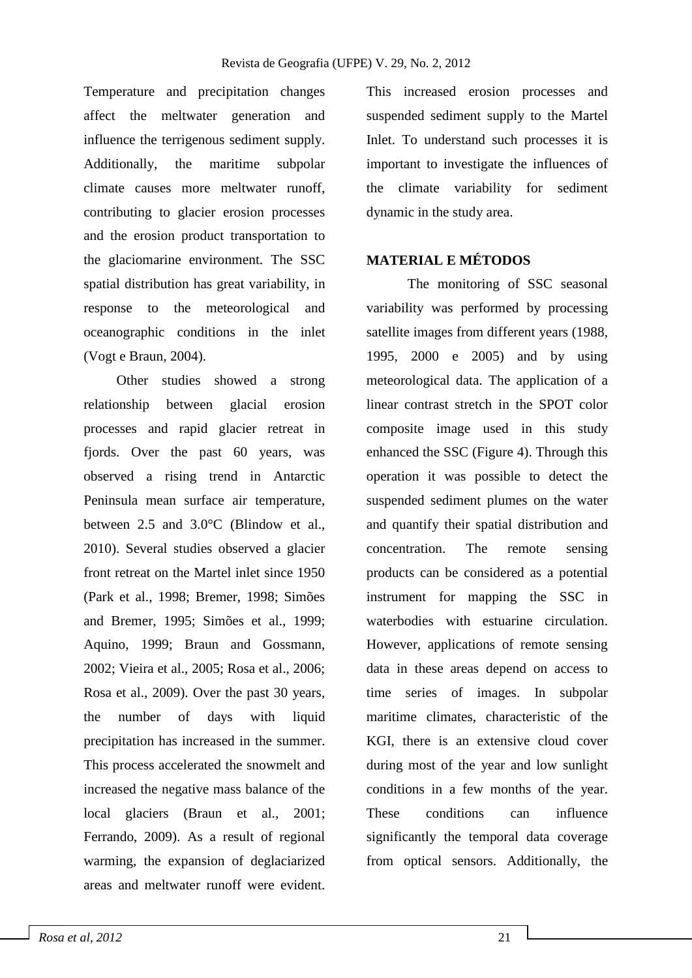Temperature and precipitation changes affect the meltwater generation and influence the terrigenous sediment supply. Additionally, the maritime subpolar climate causes more meltwater runoff, contributing to glacier erosion processes and the erosion product transportation to the glaciomarine environment. The SSC spatial distribution has great variability, in response to the meteorological and oceanographic conditions in the inlet (Vogt e Braun, 2004).

Other studies showed a strong relationship between glacial erosion processes and rapid glacier retreat in fjords. Over the past 60 years, was observed a rising trend in Antarctic Peninsula mean surface air temperature, between 2.5 and 3.0°C (Blindow et al., 2010). Several studies observed a glacier front retreat on the Martel inlet since 1950 (Park et al., 1998; Bremer, 1998; Simões and Bremer, 1995; Simões et al., 1999; Aquino, 1999; Braun and Gossmann, 2002; Vieira et al., 2005; Rosa et al., 2006; Rosa et al., 2009). Over the past 30 years, the number of days with liquid precipitation has increased in the summer. This process accelerated the snowmelt and increased the negative mass balance of the local glaciers (Braun et al., 2001; Ferrando, 2009). As a result of regional warming, the expansion of deglaciarized areas and meltwater runoff were evident. This increased erosion processes and suspended sediment supply to the Martel Inlet. To understand such processes it is important to investigate the influences of the climate variability for sediment dynamic in the study area.

#### **MATERIAL E MÉTODOS**

The monitoring of SSC seasonal variability was performed by processing satellite images from different years (1988, 1995, 2000 e 2005) and by using meteorological data. The application of a linear contrast stretch in the SPOT color composite image used in this study enhanced the SSC (Figure 4). Through this operation it was possible to detect the suspended sediment plumes on the water and quantify their spatial distribution and concentration. The remote sensing products can be considered as a potential instrument for mapping the SSC in waterbodies with estuarine circulation. However, applications of remote sensing data in these areas depend on access to time series of images. In subpolar maritime climates, characteristic of the KGI, there is an extensive cloud cover during most of the year and low sunlight conditions in a few months of the year. These conditions can influence significantly the temporal data coverage from optical sensors. Additionally, the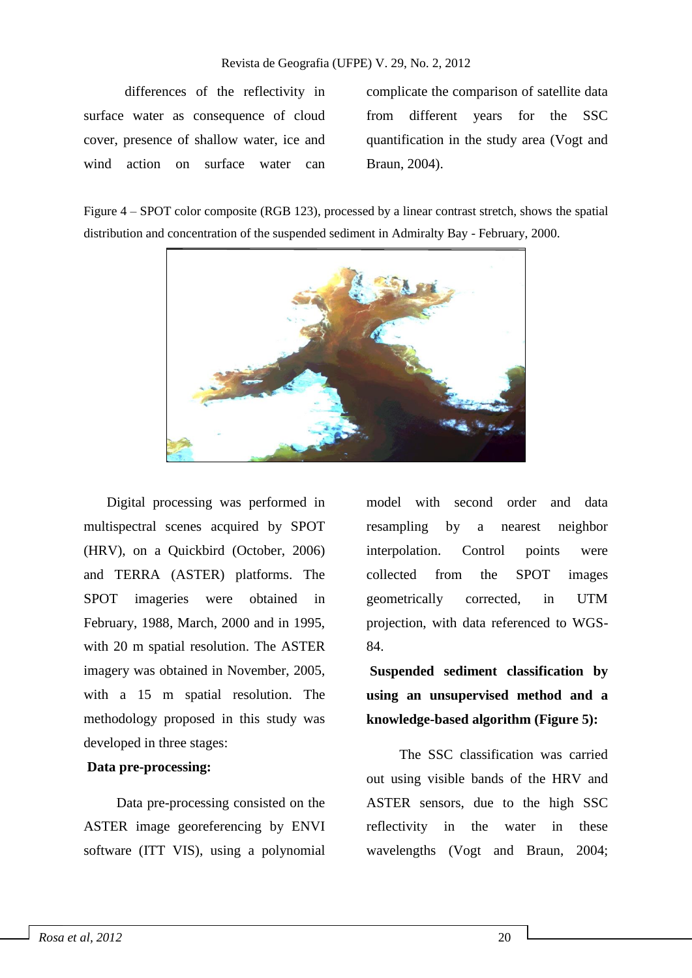differences of the reflectivity in surface water as consequence of cloud cover, presence of shallow water, ice and wind action on surface water can

complicate the comparison of satellite data from different years for the SSC quantification in the study area (Vogt and Braun, 2004).

Figure 4 – SPOT color composite (RGB 123), processed by a linear contrast stretch, shows the spatial distribution and concentration of the suspended sediment in Admiralty Bay - February, 2000.



Digital processing was performed in multispectral scenes acquired by SPOT (HRV), on a Quickbird (October, 2006) and TERRA (ASTER) platforms. The SPOT imageries were obtained in February, 1988, March, 2000 and in 1995, with 20 m spatial resolution. The ASTER imagery was obtained in November, 2005, with a 15 m spatial resolution. The methodology proposed in this study was developed in three stages:

#### **Data pre-processing:**

Data pre-processing consisted on the ASTER image georeferencing by ENVI software (ITT VIS), using a polynomial model with second order and data resampling by a nearest neighbor interpolation. Control points were collected from the SPOT images geometrically corrected, in UTM projection, with data referenced to WGS-84.

**Suspended sediment classification by using an unsupervised method and a knowledge-based algorithm (Figure 5):** 

The SSC classification was carried out using visible bands of the HRV and ASTER sensors, due to the high SSC reflectivity in the water in these wavelengths (Vogt and Braun, 2004;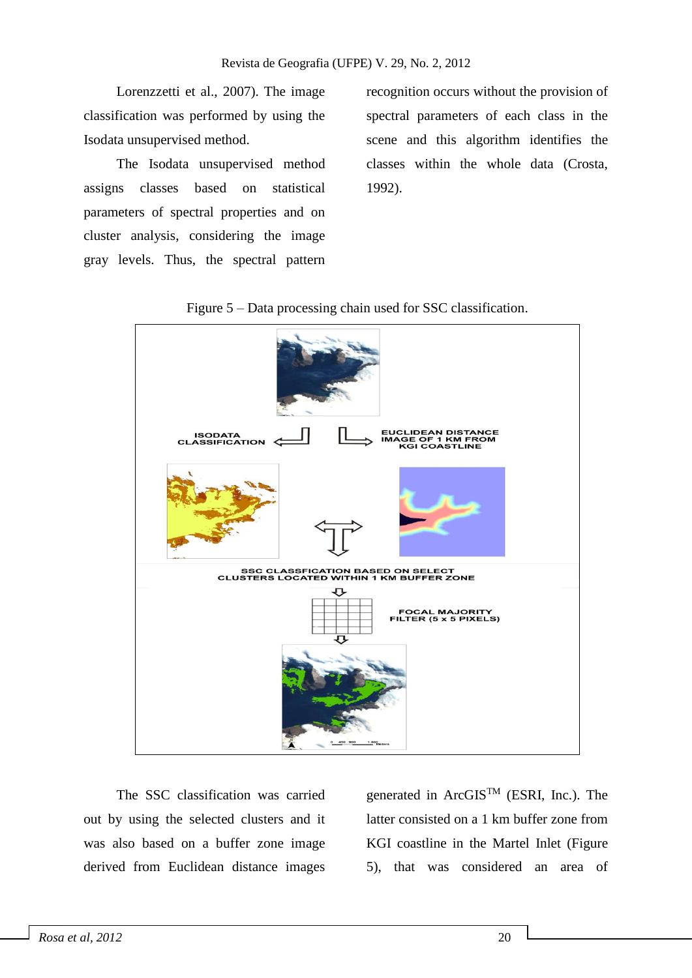Lorenzzetti et al., 2007). The image classification was performed by using the Isodata unsupervised method.

The Isodata unsupervised method assigns classes based on statistical parameters of spectral properties and on cluster analysis, considering the image gray levels. Thus, the spectral pattern recognition occurs without the provision of spectral parameters of each class in the scene and this algorithm identifies the classes within the whole data (Crosta, 1992).



Figure 5 – Data processing chain used for SSC classification.

The SSC classification was carried out by using the selected clusters and it was also based on a buffer zone image derived from Euclidean distance images generated in ArcGISTM (ESRI, Inc.). The latter consisted on a 1 km buffer zone from KGI coastline in the Martel Inlet (Figure 5), that was considered an area of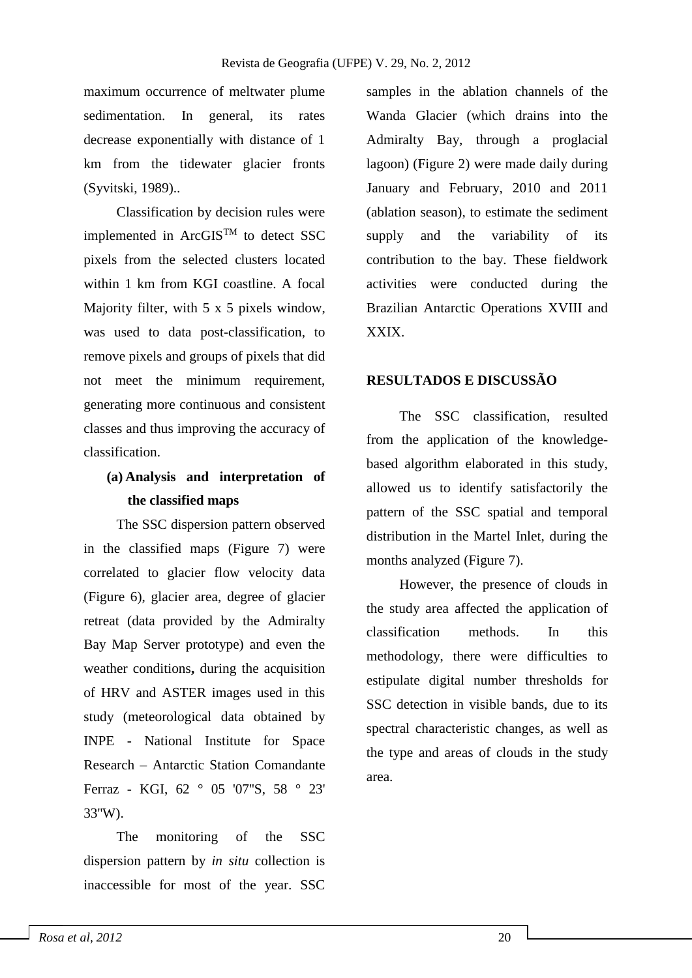maximum occurrence of meltwater plume sedimentation. In general, its rates decrease exponentially with distance of 1 km from the tidewater glacier fronts (Syvitski, 1989)..

Classification by decision rules were implemented in  $\text{ArcGIS}^{\text{TM}}$  to detect SSC pixels from the selected clusters located within 1 km from KGI coastline. A focal Majority filter, with 5 x 5 pixels window, was used to data post-classification, to remove pixels and groups of pixels that did not meet the minimum requirement, generating more continuous and consistent classes and thus improving the accuracy of classification.

## **(a) Analysis and interpretation of the classified maps**

The SSC dispersion pattern observed in the classified maps (Figure 7) were correlated to glacier flow velocity data (Figure 6), glacier area, degree of glacier retreat (data provided by the Admiralty Bay Map Server prototype) and even the weather conditions**,** during the acquisition of HRV and ASTER images used in this study (meteorological data obtained by INPE - National Institute for Space Research – Antarctic Station Comandante Ferraz - KGI, 62 ° 05 '07''S, 58 ° 23' 33''W).

The monitoring of the SSC dispersion pattern by *in situ* collection is inaccessible for most of the year. SSC

samples in the ablation channels of the Wanda Glacier (which drains into the Admiralty Bay, through a proglacial lagoon) (Figure 2) were made daily during January and February, 2010 and 2011 (ablation season), to estimate the sediment supply and the variability of its contribution to the bay. These fieldwork activities were conducted during the Brazilian Antarctic Operations XVIII and XXIX.

#### **RESULTADOS E DISCUSSÃO**

The SSC classification, resulted from the application of the knowledgebased algorithm elaborated in this study, allowed us to identify satisfactorily the pattern of the SSC spatial and temporal distribution in the Martel Inlet, during the months analyzed (Figure 7).

However, the presence of clouds in the study area affected the application of classification methods. In this methodology, there were difficulties to estipulate digital number thresholds for SSC detection in visible bands, due to its spectral characteristic changes, as well as the type and areas of clouds in the study area.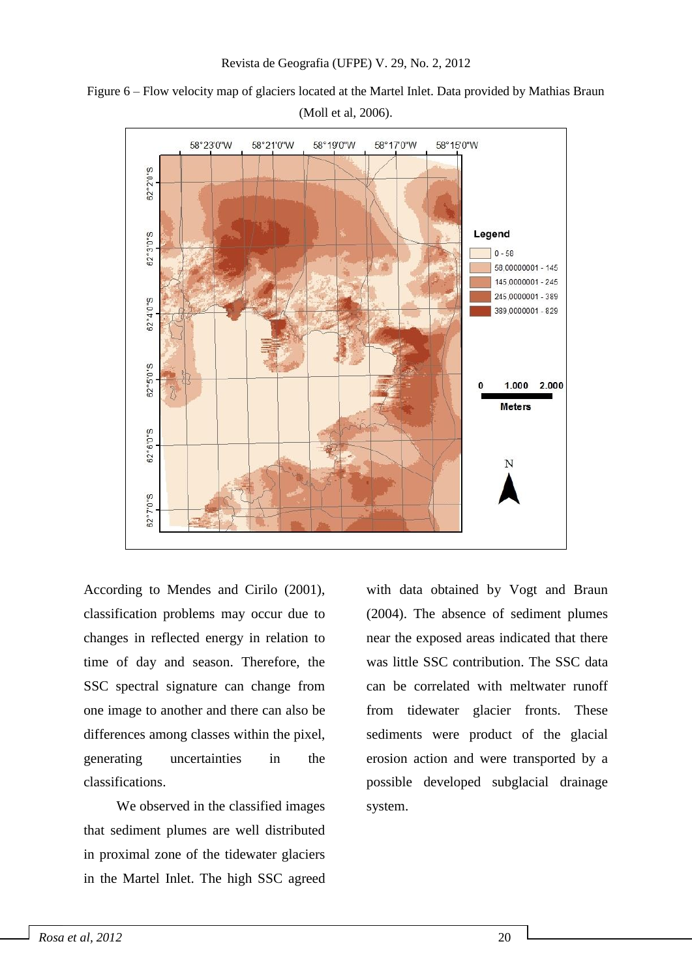

Figure 6 – Flow velocity map of glaciers located at the Martel Inlet. Data provided by Mathias Braun (Moll et al, 2006).

According to Mendes and Cirilo (2001), classification problems may occur due to changes in reflected energy in relation to time of day and season. Therefore, the SSC spectral signature can change from one image to another and there can also be differences among classes within the pixel, generating uncertainties in the classifications.

We observed in the classified images that sediment plumes are well distributed in proximal zone of the tidewater glaciers in the Martel Inlet. The high SSC agreed

with data obtained by Vogt and Braun (2004). The absence of sediment plumes near the exposed areas indicated that there was little SSC contribution. The SSC data can be correlated with meltwater runoff from tidewater glacier fronts. These sediments were product of the glacial erosion action and were transported by a possible developed subglacial drainage system.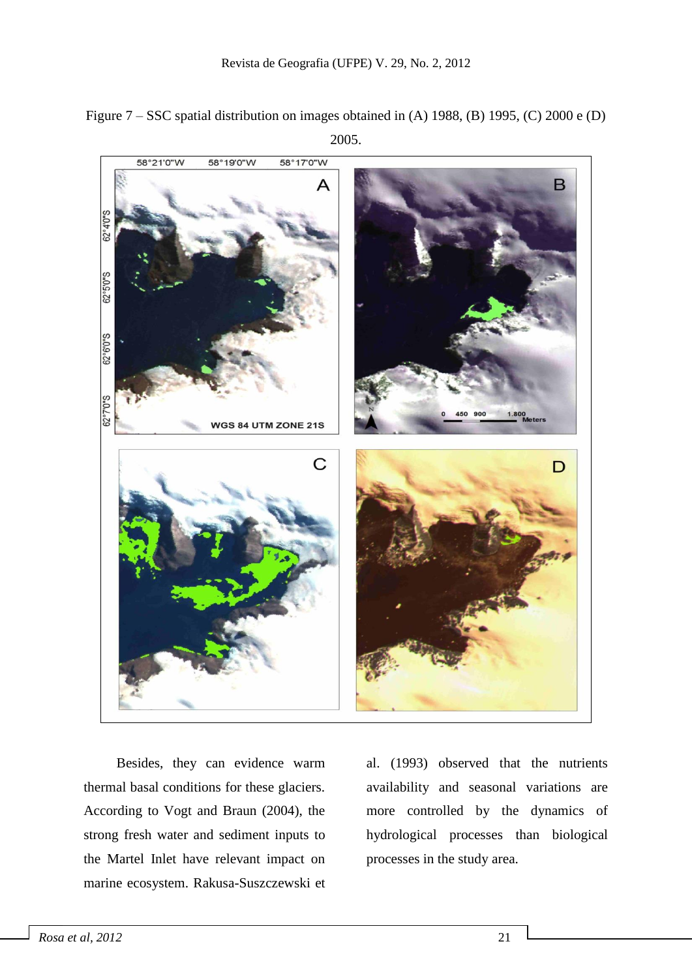



Besides, they can evidence warm thermal basal conditions for these glaciers. According to Vogt and Braun (2004), the strong fresh water and sediment inputs to the Martel Inlet have relevant impact on marine ecosystem. Rakusa-Suszczewski et al. (1993) observed that the nutrients availability and seasonal variations are more controlled by the dynamics of hydrological processes than biological processes in the study area.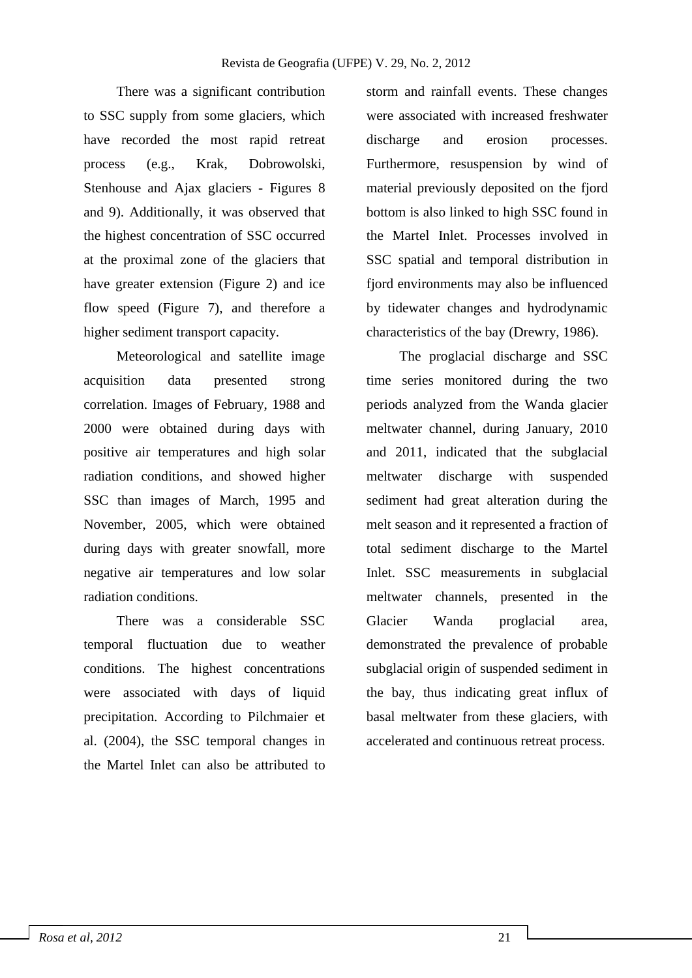There was a significant contribution to SSC supply from some glaciers, which have recorded the most rapid retreat process (e.g., Krak, Dobrowolski, Stenhouse and Ajax glaciers - Figures 8 and 9). Additionally, it was observed that the highest concentration of SSC occurred at the proximal zone of the glaciers that have greater extension (Figure 2) and ice flow speed (Figure 7), and therefore a higher sediment transport capacity.

Meteorological and satellite image acquisition data presented strong correlation. Images of February, 1988 and 2000 were obtained during days with positive air temperatures and high solar radiation conditions, and showed higher SSC than images of March, 1995 and November, 2005, which were obtained during days with greater snowfall, more negative air temperatures and low solar radiation conditions.

There was a considerable SSC temporal fluctuation due to weather conditions. The highest concentrations were associated with days of liquid precipitation. According to Pilchmaier et al. (2004), the SSC temporal changes in the Martel Inlet can also be attributed to storm and rainfall events. These changes were associated with increased freshwater discharge and erosion processes. Furthermore, resuspension by wind of material previously deposited on the fjord bottom is also linked to high SSC found in the Martel Inlet. Processes involved in SSC spatial and temporal distribution in fjord environments may also be influenced by tidewater changes and hydrodynamic characteristics of the bay (Drewry, 1986).

The proglacial discharge and SSC time series monitored during the two periods analyzed from the Wanda glacier meltwater channel, during January, 2010 and 2011, indicated that the subglacial meltwater discharge with suspended sediment had great alteration during the melt season and it represented a fraction of total sediment discharge to the Martel Inlet. SSC measurements in subglacial meltwater channels, presented in the Glacier Wanda proglacial area, demonstrated the prevalence of probable subglacial origin of suspended sediment in the bay, thus indicating great influx of basal meltwater from these glaciers, with accelerated and continuous retreat process.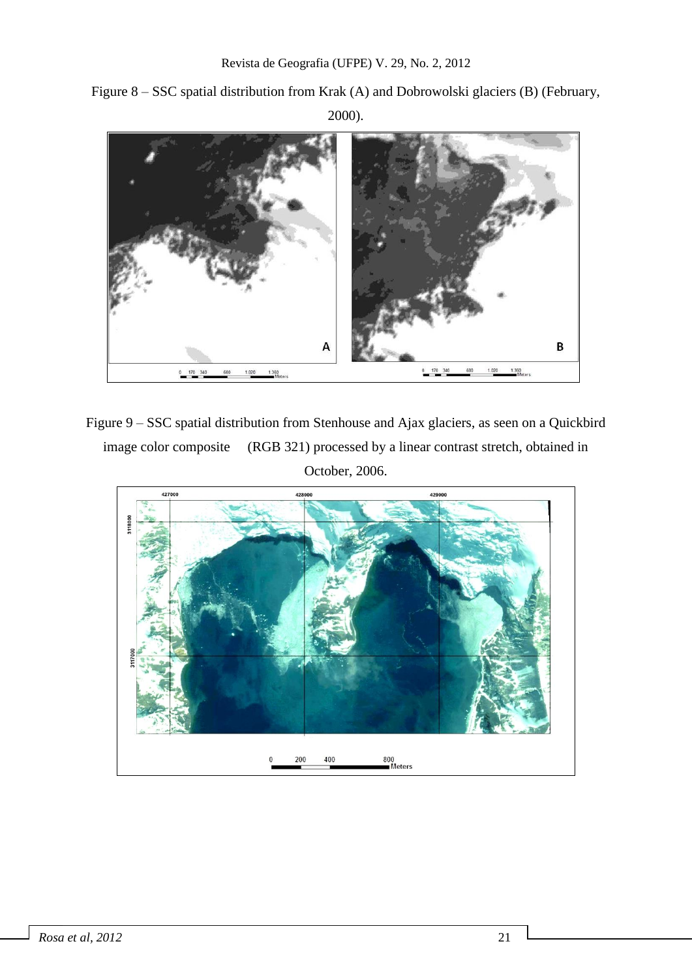Figure 8 – SSC spatial distribution from Krak (A) and Dobrowolski glaciers (B) (February, 2000).



Figure 9 – SSC spatial distribution from Stenhouse and Ajax glaciers, as seen on a Quickbird image color composite (RGB 321) processed by a linear contrast stretch, obtained in October, 2006.

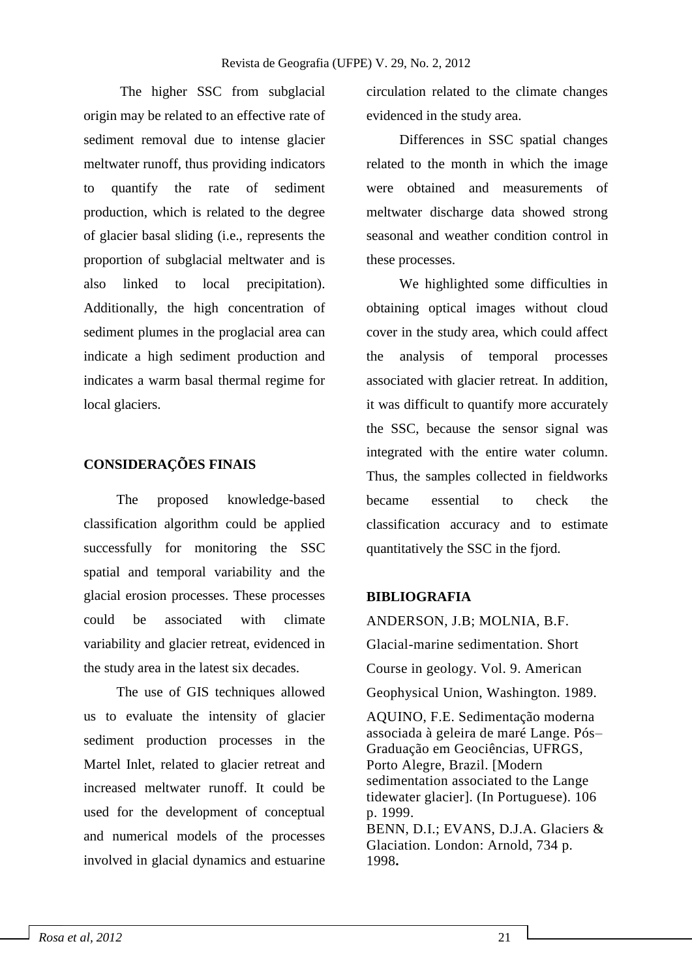The higher SSC from subglacial origin may be related to an effective rate of sediment removal due to intense glacier meltwater runoff, thus providing indicators to quantify the rate of sediment production, which is related to the degree of glacier basal sliding (i.e., represents the proportion of subglacial meltwater and is also linked to local precipitation). Additionally, the high concentration of sediment plumes in the proglacial area can indicate a high sediment production and indicates a warm basal thermal regime for local glaciers.

#### **CONSIDERAÇÕES FINAIS**

The proposed knowledge-based classification algorithm could be applied successfully for monitoring the SSC spatial and temporal variability and the glacial erosion processes. These processes could be associated with climate variability and glacier retreat, evidenced in the study area in the latest six decades.

The use of GIS techniques allowed us to evaluate the intensity of glacier sediment production processes in the Martel Inlet, related to glacier retreat and increased meltwater runoff. It could be used for the development of conceptual and numerical models of the processes involved in glacial dynamics and estuarine circulation related to the climate changes evidenced in the study area.

Differences in SSC spatial changes related to the month in which the image were obtained and measurements of meltwater discharge data showed strong seasonal and weather condition control in these processes.

We highlighted some difficulties in obtaining optical images without cloud cover in the study area, which could affect the analysis of temporal processes associated with glacier retreat. In addition, it was difficult to quantify more accurately the SSC, because the sensor signal was integrated with the entire water column. Thus, the samples collected in fieldworks became essential to check the classification accuracy and to estimate quantitatively the SSC in the fjord.

#### **BIBLIOGRAFIA**

ANDERSON, J.B; MOLNIA, B.F. Glacial-marine sedimentation. Short Course in geology. Vol. 9. American Geophysical Union, Washington. 1989. AQUINO, F.E. Sedimentação moderna associada à geleira de maré Lange. Pós– Graduação em Geociências, UFRGS, Porto Alegre, Brazil. [Modern sedimentation associated to the Lange tidewater glacier]. (In Portuguese). 106 p. 1999. BENN, D.I.; EVANS, D.J.A. Glaciers & Glaciation. London: Arnold, 734 p. 1998**.**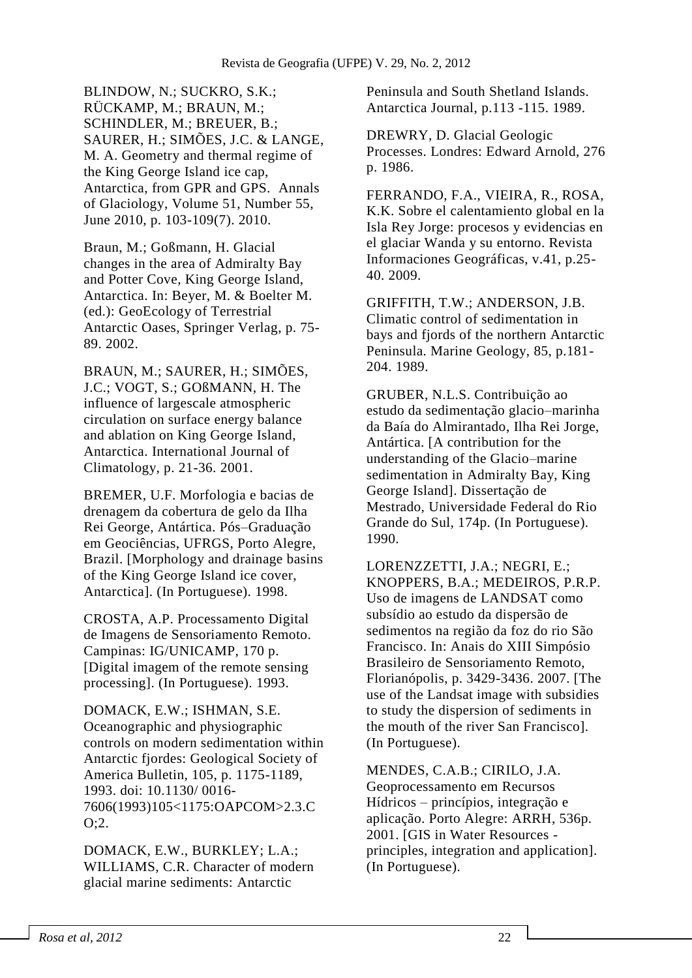BLINDOW, N.; SUCKRO, S.K.; RÜCKAMP, M.; BRAUN, M.; SCHINDLER, M.; BREUER, B.; SAURER, H.; SIMÕES, J.C. & LANGE, M. A. Geometry and thermal regime of the King George Island ice cap, Antarctica, from GPR and GPS. [Annals](http://www.ingentaconnect.com/content/igsoc/agl)  [of Glaciology,](http://www.ingentaconnect.com/content/igsoc/agl) Volume 51, Number 55, June 2010, p. 103-109(7). 2010.

Braun, M.; Goßmann, H. Glacial changes in the area of Admiralty Bay and Potter Cove, King George Island, Antarctica. In: Beyer, M. & Boelter M. (ed.): GeoEcology of Terrestrial Antarctic Oases, Springer Verlag, p. 75- 89. 2002.

BRAUN, M.; SAURER, H.; SIMÕES, J.C.; VOGT, S.; GOßMANN, H. The influence of largescale atmospheric circulation on surface energy balance and ablation on King George Island, Antarctica. International Journal of Climatology, p. 21-36. 2001.

BREMER, U.F. Morfologia e bacias de drenagem da cobertura de gelo da Ilha Rei George, Antártica. Pós–Graduação em Geociências, UFRGS, Porto Alegre, Brazil. [Morphology and drainage basins of the King George Island ice cover, Antarctica]. (In Portuguese). 1998.

CROSTA, A.P. Processamento Digital de Imagens de Sensoriamento Remoto. Campinas: IG/UNICAMP, 170 p. [Digital imagem of the remote sensing processing]. (In Portuguese). 1993.

DOMACK, E.W.; ISHMAN, S.E. Oceanographic and physiographic controls on modern sedimentation within Antarctic fjordes: Geological Society of America Bulletin, 105, p. 1175-1189, 1993. doi: 10.1130/ 0016- 7606(1993)105<1175:OAPCOM>2.3.C O;2.

DOMACK, E.W., BURKLEY; L.A.; WILLIAMS, C.R. Character of modern glacial marine sediments: Antarctic

Peninsula and South Shetland Islands. Antarctica Journal, p.113 -115. 1989.

DREWRY, D. Glacial Geologic Processes. Londres: Edward Arnold, 276 p. 1986.

FERRANDO, F.A., VIEIRA, R., ROSA, K.K. Sobre el calentamiento global en la Isla Rey Jorge: procesos y evidencias en el glaciar Wanda y su entorno. Revista Informaciones Geográficas, v.41, p.25- 40. 2009.

GRIFFITH, T.W.; ANDERSON, J.B. Climatic control of sedimentation in bays and fjords of the northern Antarctic Peninsula. Marine Geology, 85, p.181- 204. 1989.

GRUBER, N.L.S. Contribuição ao estudo da sedimentação glacio–marinha da Baía do Almirantado, Ilha Rei Jorge, Antártica. [A contribution for the understanding of the Glacio–marine sedimentation in Admiralty Bay, King George Island]. Dissertação de Mestrado, Universidade Federal do Rio Grande do Sul, 174p. (In Portuguese). 1990.

LORENZZETTI, J.A.; NEGRI, E.; KNOPPERS, B.A.; MEDEIROS, P.R.P. Uso de imagens de LANDSAT como subsídio ao estudo da dispersão de sedimentos na região da foz do rio São Francisco. In: Anais do XIII Simpósio Brasileiro de Sensoriamento Remoto, Florianópolis, p. 3429-3436. 2007. [The use of the Landsat image with subsidies to study the dispersion of sediments in the mouth of the river San Francisco]. (In Portuguese).

MENDES, C.A.B.; CIRILO, J.A. Geoprocessamento em Recursos Hídricos – princípios, integração e aplicação. Porto Alegre: ARRH, 536p. 2001. [GIS in Water Resources principles, integration and application]. (In Portuguese).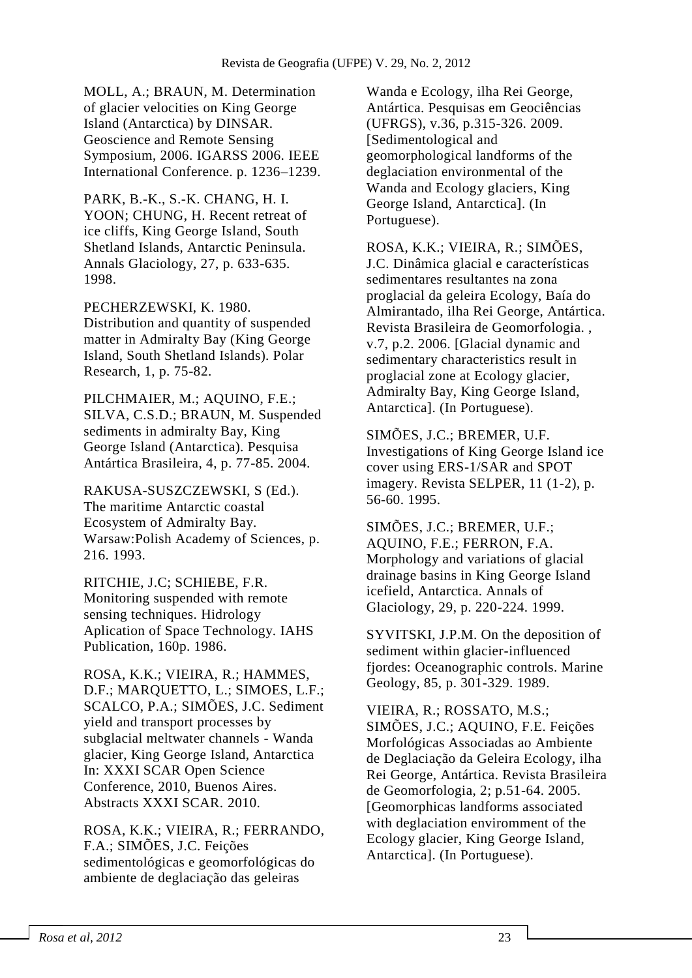MOLL, A.; BRAUN, M. Determination of glacier velocities on King George Island (Antarctica) by DINSAR. Geoscience and Remote Sensing Symposium, 2006. IGARSS 2006. IEEE International Conference. p. 1236–1239.

PARK, B.-K., S.-K. CHANG, H. I. YOON; CHUNG, H. Recent retreat of ice cliffs, King George Island, South Shetland Islands, Antarctic Peninsula. Annals Glaciology, 27, p. 633-635. 1998.

PECHERZEWSKI, K. 1980. Distribution and quantity of suspended matter in Admiralty Bay (King George Island, South Shetland Islands). Polar Research, 1, p. 75-82.

PILCHMAIER, M.; AQUINO, F.E.; SILVA, C.S.D.; BRAUN, M. Suspended sediments in admiralty Bay, King George Island (Antarctica). Pesquisa Antártica Brasileira, 4, p. 77-85. 2004.

RAKUSA-SUSZCZEWSKI, S (Ed.). The maritime Antarctic coastal Ecosystem of Admiralty Bay. Warsaw:Polish Academy of Sciences, p. 216. 1993.

RITCHIE, J.C; SCHIEBE, F.R. Monitoring suspended with remote sensing techniques. Hidrology Aplication of Space Technology. IAHS Publication, 160p. 1986.

ROSA, K.K.; VIEIRA, R.; HAMMES, D.F.; MARQUETTO, L.; SIMOES, L.F.; SCALCO, P.A.; SIMÕES, J.C. Sediment yield and transport processes by subglacial meltwater channels - Wanda glacier, King George Island, Antarctica In: XXXI SCAR Open Science Conference, 2010, Buenos Aires. Abstracts XXXI SCAR. 2010.

ROSA, K.K.; VIEIRA, R.; FERRANDO, F.A.; SIMÕES, J.C. Feições sedimentológicas e geomorfológicas do ambiente de deglaciação das geleiras

Wanda e Ecology, ilha Rei George, Antártica. Pesquisas em Geociências (UFRGS), v.36, p.315-326. 2009. [Sedimentological and geomorphological landforms of the deglaciation environmental of the Wanda and Ecology glaciers, King George Island, Antarctica]. (In Portuguese).

ROSA, K.K.; VIEIRA, R.; SIMÕES, J.C. Dinâmica glacial e características sedimentares resultantes na zona proglacial da geleira Ecology, Baía do Almirantado, ilha Rei George, Antártica. Revista Brasileira de Geomorfologia. , v.7, p.2. 2006. [Glacial dynamic and sedimentary characteristics result in proglacial zone at Ecology glacier, Admiralty Bay, King George Island, Antarctica]. (In Portuguese).

SIMÕES, J.C.; BREMER, U.F. Investigations of King George Island ice cover using ERS-1/SAR and SPOT imagery. Revista SELPER, 11 (1-2), p. 56-60. 1995.

SIMÕES, J.C.; BREMER, U.F.; AQUINO, F.E.; FERRON, F.A. Morphology and variations of glacial drainage basins in King George Island icefield, Antarctica. Annals of Glaciology, 29, p. 220-224. 1999.

SYVITSKI, J.P.M. On the deposition of sediment within glacier-influenced fjordes: Oceanographic controls. Marine Geology, 85, p. 301-329. 1989.

VIEIRA, R.; ROSSATO, M.S.; SIMÕES, J.C.; AQUINO, F.E. Feições Morfológicas Associadas ao Ambiente de Deglaciação da Geleira Ecology, ilha Rei George, Antártica. Revista Brasileira de Geomorfologia, 2; p.51-64. 2005. [Geomorphicas landforms associated with deglaciation enviromment of the Ecology glacier, King George Island, Antarctica]. (In Portuguese).